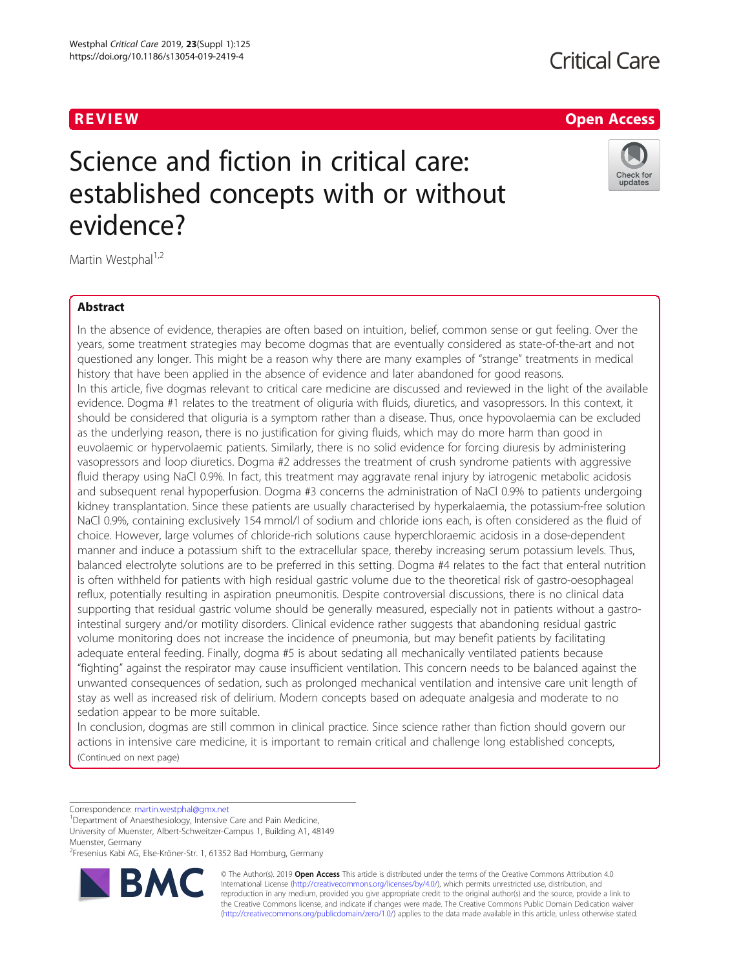Science and fiction in critical care:

established concepts with or without

# **Critical Care**

# R EVI EW Open Access

# Check for updates

Martin Westphal<sup>1,2</sup>

evidence?

# Abstract

In the absence of evidence, therapies are often based on intuition, belief, common sense or gut feeling. Over the years, some treatment strategies may become dogmas that are eventually considered as state-of-the-art and not questioned any longer. This might be a reason why there are many examples of "strange" treatments in medical history that have been applied in the absence of evidence and later abandoned for good reasons. In this article, five dogmas relevant to critical care medicine are discussed and reviewed in the light of the available evidence. Dogma #1 relates to the treatment of oliguria with fluids, diuretics, and vasopressors. In this context, it should be considered that oliguria is a symptom rather than a disease. Thus, once hypovolaemia can be excluded as the underlying reason, there is no justification for giving fluids, which may do more harm than good in euvolaemic or hypervolaemic patients. Similarly, there is no solid evidence for forcing diuresis by administering vasopressors and loop diuretics. Dogma #2 addresses the treatment of crush syndrome patients with aggressive fluid therapy using NaCl 0.9%. In fact, this treatment may aggravate renal injury by iatrogenic metabolic acidosis and subsequent renal hypoperfusion. Dogma #3 concerns the administration of NaCl 0.9% to patients undergoing kidney transplantation. Since these patients are usually characterised by hyperkalaemia, the potassium-free solution NaCl 0.9%, containing exclusively 154 mmol/l of sodium and chloride ions each, is often considered as the fluid of choice. However, large volumes of chloride-rich solutions cause hyperchloraemic acidosis in a dose-dependent manner and induce a potassium shift to the extracellular space, thereby increasing serum potassium levels. Thus, balanced electrolyte solutions are to be preferred in this setting. Dogma #4 relates to the fact that enteral nutrition is often withheld for patients with high residual gastric volume due to the theoretical risk of gastro-oesophageal reflux, potentially resulting in aspiration pneumonitis. Despite controversial discussions, there is no clinical data supporting that residual gastric volume should be generally measured, especially not in patients without a gastrointestinal surgery and/or motility disorders. Clinical evidence rather suggests that abandoning residual gastric volume monitoring does not increase the incidence of pneumonia, but may benefit patients by facilitating adequate enteral feeding. Finally, dogma #5 is about sedating all mechanically ventilated patients because "fighting" against the respirator may cause insufficient ventilation. This concern needs to be balanced against the unwanted consequences of sedation, such as prolonged mechanical ventilation and intensive care unit length of stay as well as increased risk of delirium. Modern concepts based on adequate analgesia and moderate to no sedation appear to be more suitable.

In conclusion, dogmas are still common in clinical practice. Since science rather than fiction should govern our actions in intensive care medicine, it is important to remain critical and challenge long established concepts, (Continued on next page)

Correspondence: [martin.westphal@gmx.net](mailto:martin.westphal@gmx.net) <sup>1</sup>

<sup>1</sup>Department of Anaesthesiology, Intensive Care and Pain Medicine, University of Muenster, Albert-Schweitzer-Campus 1, Building A1, 48149

Muenster, Germany

<sup>&</sup>lt;sup>2</sup> Fresenius Kabi AG, Else-Kröner-Str. 1, 61352 Bad Homburg, Germany



© The Author(s). 2019 **Open Access** This article is distributed under the terms of the Creative Commons Attribution 4.0 International License [\(http://creativecommons.org/licenses/by/4.0/](http://creativecommons.org/licenses/by/4.0/)), which permits unrestricted use, distribution, and reproduction in any medium, provided you give appropriate credit to the original author(s) and the source, provide a link to the Creative Commons license, and indicate if changes were made. The Creative Commons Public Domain Dedication waiver [\(http://creativecommons.org/publicdomain/zero/1.0/](http://creativecommons.org/publicdomain/zero/1.0/)) applies to the data made available in this article, unless otherwise stated.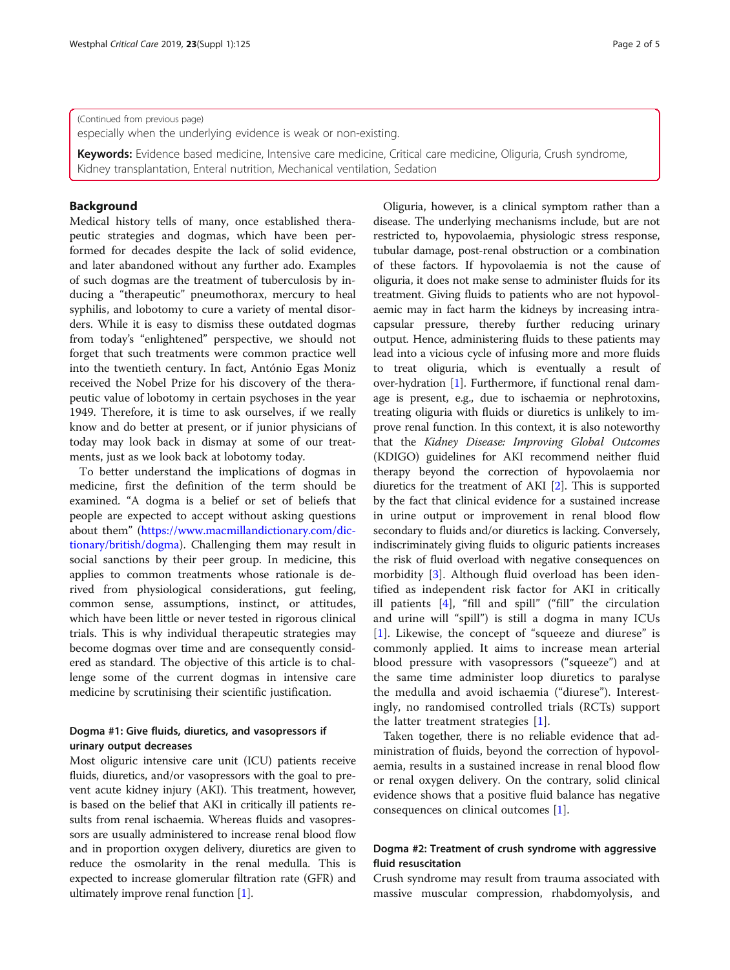# (Continued from previous page)

especially when the underlying evidence is weak or non-existing.

Keywords: Evidence based medicine, Intensive care medicine, Critical care medicine, Oliguria, Crush syndrome, Kidney transplantation, Enteral nutrition, Mechanical ventilation, Sedation

# Background

Medical history tells of many, once established therapeutic strategies and dogmas, which have been performed for decades despite the lack of solid evidence, and later abandoned without any further ado. Examples of such dogmas are the treatment of tuberculosis by inducing a "therapeutic" pneumothorax, mercury to heal syphilis, and lobotomy to cure a variety of mental disorders. While it is easy to dismiss these outdated dogmas from today's "enlightened" perspective, we should not forget that such treatments were common practice well into the twentieth century. In fact, António Egas Moniz received the Nobel Prize for his discovery of the therapeutic value of lobotomy in certain psychoses in the year 1949. Therefore, it is time to ask ourselves, if we really know and do better at present, or if junior physicians of today may look back in dismay at some of our treatments, just as we look back at lobotomy today.

To better understand the implications of dogmas in medicine, first the definition of the term should be examined. "A dogma is a belief or set of beliefs that people are expected to accept without asking questions about them" [\(https://www.macmillandictionary.com/dic](https://www.macmillandictionary.com/dictionary/british/dogma)[tionary/british/dogma](https://www.macmillandictionary.com/dictionary/british/dogma)). Challenging them may result in social sanctions by their peer group. In medicine, this applies to common treatments whose rationale is derived from physiological considerations, gut feeling, common sense, assumptions, instinct, or attitudes, which have been little or never tested in rigorous clinical trials. This is why individual therapeutic strategies may become dogmas over time and are consequently considered as standard. The objective of this article is to challenge some of the current dogmas in intensive care medicine by scrutinising their scientific justification.

# Dogma #1: Give fluids, diuretics, and vasopressors if urinary output decreases

Most oliguric intensive care unit (ICU) patients receive fluids, diuretics, and/or vasopressors with the goal to prevent acute kidney injury (AKI). This treatment, however, is based on the belief that AKI in critically ill patients results from renal ischaemia. Whereas fluids and vasopressors are usually administered to increase renal blood flow and in proportion oxygen delivery, diuretics are given to reduce the osmolarity in the renal medulla. This is expected to increase glomerular filtration rate (GFR) and ultimately improve renal function [[1\]](#page-4-0).

Oliguria, however, is a clinical symptom rather than a disease. The underlying mechanisms include, but are not restricted to, hypovolaemia, physiologic stress response, tubular damage, post-renal obstruction or a combination of these factors. If hypovolaemia is not the cause of oliguria, it does not make sense to administer fluids for its treatment. Giving fluids to patients who are not hypovolaemic may in fact harm the kidneys by increasing intracapsular pressure, thereby further reducing urinary output. Hence, administering fluids to these patients may lead into a vicious cycle of infusing more and more fluids to treat oliguria, which is eventually a result of over-hydration [[1](#page-4-0)]. Furthermore, if functional renal damage is present, e.g., due to ischaemia or nephrotoxins, treating oliguria with fluids or diuretics is unlikely to improve renal function. In this context, it is also noteworthy that the Kidney Disease: Improving Global Outcomes (KDIGO) guidelines for AKI recommend neither fluid therapy beyond the correction of hypovolaemia nor diuretics for the treatment of AKI [[2\]](#page-4-0). This is supported by the fact that clinical evidence for a sustained increase in urine output or improvement in renal blood flow secondary to fluids and/or diuretics is lacking. Conversely, indiscriminately giving fluids to oliguric patients increases the risk of fluid overload with negative consequences on morbidity [\[3](#page-4-0)]. Although fluid overload has been identified as independent risk factor for AKI in critically ill patients  $[4]$  $[4]$ , "fill and spill" ("fill" the circulation and urine will "spill") is still a dogma in many ICUs [[1\]](#page-4-0). Likewise, the concept of "squeeze and diurese" is commonly applied. It aims to increase mean arterial blood pressure with vasopressors ("squeeze") and at the same time administer loop diuretics to paralyse the medulla and avoid ischaemia ("diurese"). Interestingly, no randomised controlled trials (RCTs) support the latter treatment strategies [[1\]](#page-4-0).

Taken together, there is no reliable evidence that administration of fluids, beyond the correction of hypovolaemia, results in a sustained increase in renal blood flow or renal oxygen delivery. On the contrary, solid clinical evidence shows that a positive fluid balance has negative consequences on clinical outcomes [[1](#page-4-0)].

# Dogma #2: Treatment of crush syndrome with aggressive fluid resuscitation

Crush syndrome may result from trauma associated with massive muscular compression, rhabdomyolysis, and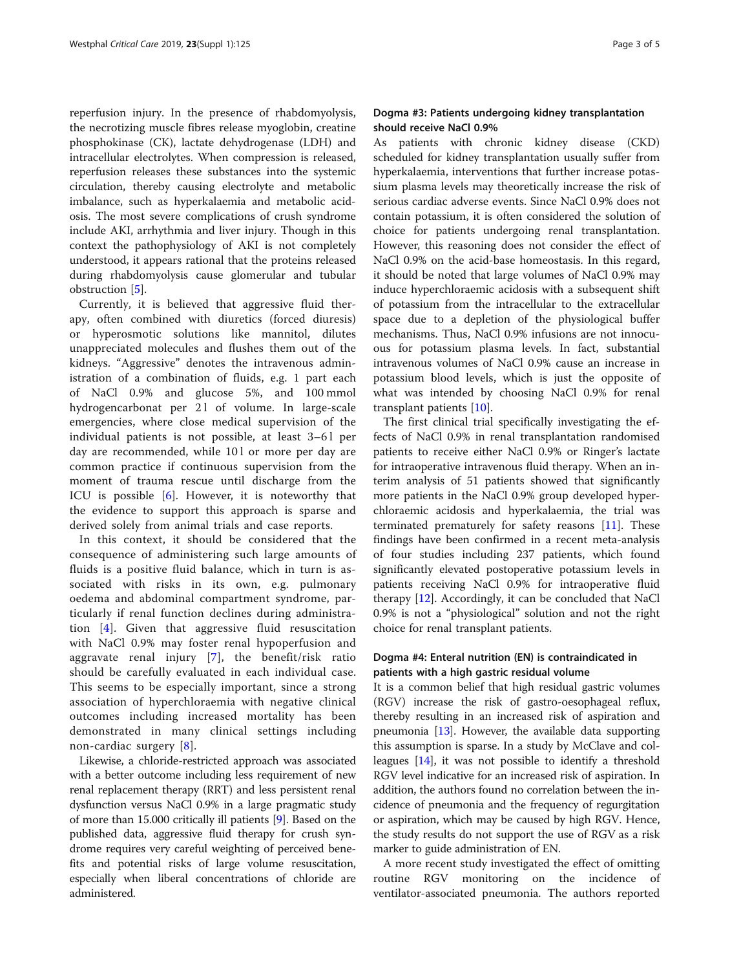reperfusion injury. In the presence of rhabdomyolysis, the necrotizing muscle fibres release myoglobin, creatine phosphokinase (CK), lactate dehydrogenase (LDH) and intracellular electrolytes. When compression is released, reperfusion releases these substances into the systemic circulation, thereby causing electrolyte and metabolic imbalance, such as hyperkalaemia and metabolic acidosis. The most severe complications of crush syndrome include AKI, arrhythmia and liver injury. Though in this context the pathophysiology of AKI is not completely understood, it appears rational that the proteins released during rhabdomyolysis cause glomerular and tubular obstruction [[5\]](#page-4-0).

Currently, it is believed that aggressive fluid therapy, often combined with diuretics (forced diuresis) or hyperosmotic solutions like mannitol, dilutes unappreciated molecules and flushes them out of the kidneys. "Aggressive" denotes the intravenous administration of a combination of fluids, e.g. 1 part each of NaCl 0.9% and glucose 5%, and 100 mmol hydrogencarbonat per 21 of volume. In large-scale emergencies, where close medical supervision of the individual patients is not possible, at least 3-61 per day are recommended, while 10 l or more per day are common practice if continuous supervision from the moment of trauma rescue until discharge from the ICU is possible [\[6](#page-4-0)]. However, it is noteworthy that the evidence to support this approach is sparse and derived solely from animal trials and case reports.

In this context, it should be considered that the consequence of administering such large amounts of fluids is a positive fluid balance, which in turn is associated with risks in its own, e.g. pulmonary oedema and abdominal compartment syndrome, particularly if renal function declines during administration [\[4\]](#page-4-0). Given that aggressive fluid resuscitation with NaCl 0.9% may foster renal hypoperfusion and aggravate renal injury [[7](#page-4-0)], the benefit/risk ratio should be carefully evaluated in each individual case. This seems to be especially important, since a strong association of hyperchloraemia with negative clinical outcomes including increased mortality has been demonstrated in many clinical settings including non-cardiac surgery [[8\]](#page-4-0).

Likewise, a chloride-restricted approach was associated with a better outcome including less requirement of new renal replacement therapy (RRT) and less persistent renal dysfunction versus NaCl 0.9% in a large pragmatic study of more than 15.000 critically ill patients [[9](#page-4-0)]. Based on the published data, aggressive fluid therapy for crush syndrome requires very careful weighting of perceived benefits and potential risks of large volume resuscitation, especially when liberal concentrations of chloride are administered.

# Dogma #3: Patients undergoing kidney transplantation should receive NaCl 0.9%

As patients with chronic kidney disease (CKD) scheduled for kidney transplantation usually suffer from hyperkalaemia, interventions that further increase potassium plasma levels may theoretically increase the risk of serious cardiac adverse events. Since NaCl 0.9% does not contain potassium, it is often considered the solution of choice for patients undergoing renal transplantation. However, this reasoning does not consider the effect of NaCl 0.9% on the acid-base homeostasis. In this regard, it should be noted that large volumes of NaCl 0.9% may induce hyperchloraemic acidosis with a subsequent shift of potassium from the intracellular to the extracellular space due to a depletion of the physiological buffer mechanisms. Thus, NaCl 0.9% infusions are not innocuous for potassium plasma levels. In fact, substantial intravenous volumes of NaCl 0.9% cause an increase in potassium blood levels, which is just the opposite of what was intended by choosing NaCl 0.9% for renal transplant patients [\[10](#page-4-0)].

The first clinical trial specifically investigating the effects of NaCl 0.9% in renal transplantation randomised patients to receive either NaCl 0.9% or Ringer's lactate for intraoperative intravenous fluid therapy. When an interim analysis of 51 patients showed that significantly more patients in the NaCl 0.9% group developed hyperchloraemic acidosis and hyperkalaemia, the trial was terminated prematurely for safety reasons [[11\]](#page-4-0). These findings have been confirmed in a recent meta-analysis of four studies including 237 patients, which found significantly elevated postoperative potassium levels in patients receiving NaCl 0.9% for intraoperative fluid therapy [[12](#page-4-0)]. Accordingly, it can be concluded that NaCl 0.9% is not a "physiological" solution and not the right choice for renal transplant patients.

# Dogma #4: Enteral nutrition (EN) is contraindicated in patients with a high gastric residual volume

It is a common belief that high residual gastric volumes (RGV) increase the risk of gastro-oesophageal reflux, thereby resulting in an increased risk of aspiration and pneumonia [\[13](#page-4-0)]. However, the available data supporting this assumption is sparse. In a study by McClave and colleagues [\[14\]](#page-4-0), it was not possible to identify a threshold RGV level indicative for an increased risk of aspiration. In addition, the authors found no correlation between the incidence of pneumonia and the frequency of regurgitation or aspiration, which may be caused by high RGV. Hence, the study results do not support the use of RGV as a risk marker to guide administration of EN.

A more recent study investigated the effect of omitting routine RGV monitoring on the incidence of ventilator-associated pneumonia. The authors reported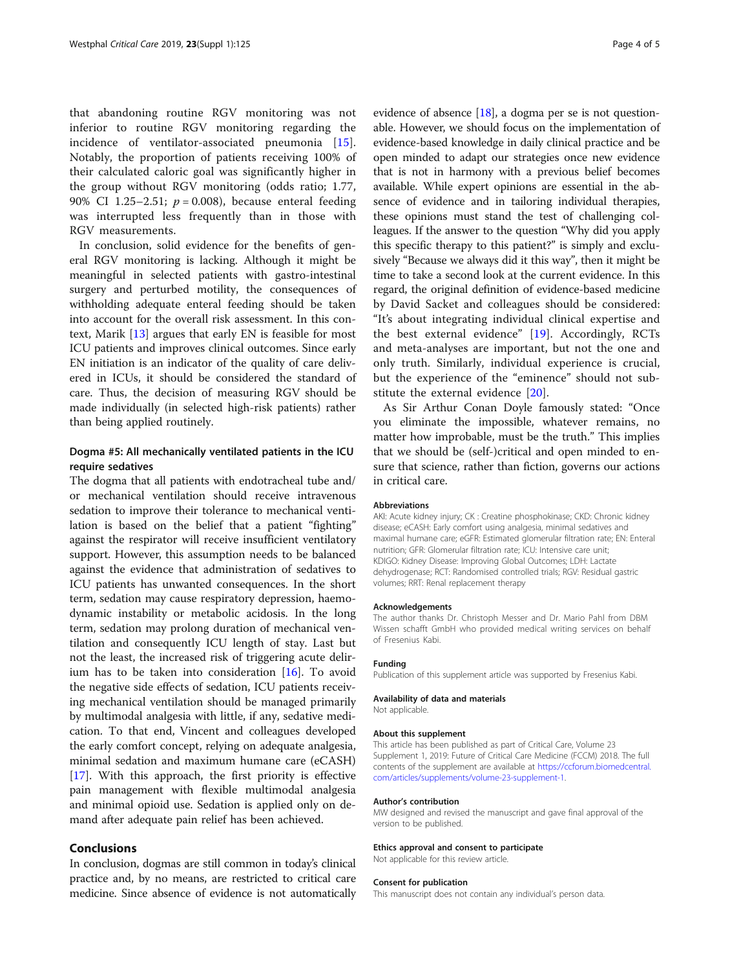that abandoning routine RGV monitoring was not inferior to routine RGV monitoring regarding the incidence of ventilator-associated pneumonia [\[15](#page-4-0)]. Notably, the proportion of patients receiving 100% of their calculated caloric goal was significantly higher in the group without RGV monitoring (odds ratio; 1.77, 90% CI 1.25–2.51;  $p = 0.008$ ), because enteral feeding was interrupted less frequently than in those with RGV measurements.

In conclusion, solid evidence for the benefits of general RGV monitoring is lacking. Although it might be meaningful in selected patients with gastro-intestinal surgery and perturbed motility, the consequences of withholding adequate enteral feeding should be taken into account for the overall risk assessment. In this context, Marik [[13\]](#page-4-0) argues that early EN is feasible for most ICU patients and improves clinical outcomes. Since early EN initiation is an indicator of the quality of care delivered in ICUs, it should be considered the standard of care. Thus, the decision of measuring RGV should be made individually (in selected high-risk patients) rather than being applied routinely.

# Dogma #5: All mechanically ventilated patients in the ICU require sedatives

The dogma that all patients with endotracheal tube and/ or mechanical ventilation should receive intravenous sedation to improve their tolerance to mechanical ventilation is based on the belief that a patient "fighting" against the respirator will receive insufficient ventilatory support. However, this assumption needs to be balanced against the evidence that administration of sedatives to ICU patients has unwanted consequences. In the short term, sedation may cause respiratory depression, haemodynamic instability or metabolic acidosis. In the long term, sedation may prolong duration of mechanical ventilation and consequently ICU length of stay. Last but not the least, the increased risk of triggering acute delirium has to be taken into consideration [[16\]](#page-4-0). To avoid the negative side effects of sedation, ICU patients receiving mechanical ventilation should be managed primarily by multimodal analgesia with little, if any, sedative medication. To that end, Vincent and colleagues developed the early comfort concept, relying on adequate analgesia, minimal sedation and maximum humane care (eCASH) [[17\]](#page-4-0). With this approach, the first priority is effective pain management with flexible multimodal analgesia and minimal opioid use. Sedation is applied only on demand after adequate pain relief has been achieved.

## Conclusions

In conclusion, dogmas are still common in today's clinical practice and, by no means, are restricted to critical care medicine. Since absence of evidence is not automatically

evidence of absence  $[18]$ , a dogma per se is not questionable. However, we should focus on the implementation of evidence-based knowledge in daily clinical practice and be open minded to adapt our strategies once new evidence that is not in harmony with a previous belief becomes available. While expert opinions are essential in the absence of evidence and in tailoring individual therapies, these opinions must stand the test of challenging colleagues. If the answer to the question "Why did you apply this specific therapy to this patient?" is simply and exclusively "Because we always did it this way", then it might be time to take a second look at the current evidence. In this regard, the original definition of evidence-based medicine by David Sacket and colleagues should be considered: "It's about integrating individual clinical expertise and the best external evidence" [[19\]](#page-4-0). Accordingly, RCTs and meta-analyses are important, but not the one and only truth. Similarly, individual experience is crucial, but the experience of the "eminence" should not substitute the external evidence [[20\]](#page-4-0).

As Sir Arthur Conan Doyle famously stated: "Once you eliminate the impossible, whatever remains, no matter how improbable, must be the truth." This implies that we should be (self-)critical and open minded to ensure that science, rather than fiction, governs our actions in critical care.

#### **Abbreviations**

AKI: Acute kidney injury; CK : Creatine phosphokinase; CKD: Chronic kidney disease; eCASH: Early comfort using analgesia, minimal sedatives and maximal humane care; eGFR: Estimated glomerular filtration rate; EN: Enteral nutrition; GFR: Glomerular filtration rate; ICU: Intensive care unit; KDIGO: Kidney Disease: Improving Global Outcomes; LDH: Lactate dehydrogenase; RCT: Randomised controlled trials; RGV: Residual gastric volumes; RRT: Renal replacement therapy

### Acknowledgements

The author thanks Dr. Christoph Messer and Dr. Mario Pahl from DBM Wissen schafft GmbH who provided medical writing services on behalf of Fresenius Kabi.

#### Funding

Publication of this supplement article was supported by Fresenius Kabi.

#### Availability of data and materials

Not applicable.

### About this supplement

This article has been published as part of Critical Care, Volume 23 Supplement 1, 2019: Future of Critical Care Medicine (FCCM) 2018. The full contents of the supplement are available at [https://ccforum.biomedcentral.](https://ccforum.biomedcentral.com/articles/supplements/volume-23-supplement-1) [com/articles/supplements/volume-23-supplement-1.](https://ccforum.biomedcentral.com/articles/supplements/volume-23-supplement-1)

#### Author's contribution

MW designed and revised the manuscript and gave final approval of the version to be published.

#### Ethics approval and consent to participate

Not applicable for this review article.

#### Consent for publication

This manuscript does not contain any individual's person data.